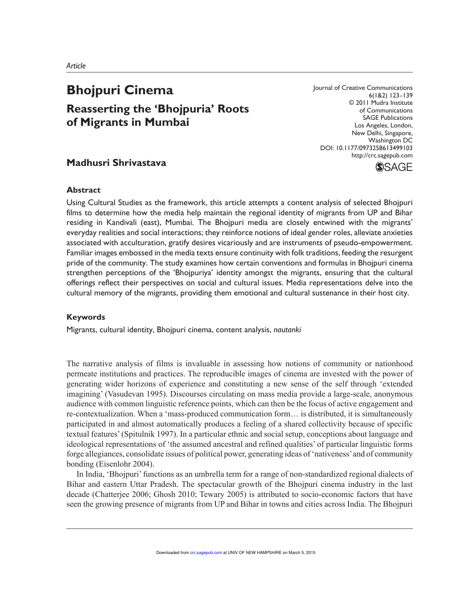# **Bhojpuri Cinema Reasserting the 'Bhojpuria' Roots of Migrants in Mumbai**

Journal of Creative Communications 6(1&2) 123–139 © 2011 Mudra Institute of Communications SAGE Publications Los Angeles, London, New Delhi, Singapore, Washington DC DOI: 10.1177/0973258613499103 http://crc.sagepub.com



# **Madhusri Shrivastava**

#### **Abstract**

Using Cultural Studies as the framework, this article attempts a content analysis of selected Bhojpuri films to determine how the media help maintain the regional identity of migrants from UP and Bihar residing in Kandivali (east), Mumbai. The Bhojpuri media are closely entwined with the migrants' everyday realities and social interactions; they reinforce notions of ideal gender roles, alleviate anxieties associated with acculturation, gratify desires vicariously and are instruments of pseudo-empowerment. Familiar images embossed in the media texts ensure continuity with folk traditions, feeding the resurgent pride of the community. The study examines how certain conventions and formulas in Bhojpuri cinema strengthen perceptions of the 'Bhojpuriya' identity amongst the migrants, ensuring that the cultural offerings reflect their perspectives on social and cultural issues. Media representations delve into the cultural memory of the migrants, providing them emotional and cultural sustenance in their host city.

### **Keywords**

Migrants, cultural identity, Bhojpuri cinema, content analysis, *nautanki*

The narrative analysis of films is invaluable in assessing how notions of community or nationhood permeate institutions and practices. The reproducible images of cinema are invested with the power of generating wider horizons of experience and constituting a new sense of the self through 'extended imagining' (Vasudevan 1995). Discourses circulating on mass media provide a large-scale, anonymous audience with common linguistic reference points, which can then be the focus of active engagement and re-contextualization. When a 'mass-produced communication form… is distributed, it is simultaneously participated in and almost automatically produces a feeling of a shared collectivity because of specific textual features' (Spitulnik 1997). In a particular ethnic and social setup, conceptions about language and ideological representations of 'the assumed ancestral and refined qualities' of particular linguistic forms forge allegiances, consolidate issues of political power, generating ideas of 'nativeness' and of community bonding (Eisenlohr 2004).

In India, 'Bhojpuri' functions as an umbrella term for a range of non-standardized regional dialects of Bihar and eastern Uttar Pradesh. The spectacular growth of the Bhojpuri cinema industry in the last decade (Chatterjee 2006; Ghosh 2010; Tewary 2005) is attributed to socio-economic factors that have seen the growing presence of migrants from UP and Bihar in towns and cities across India. The Bhojpuri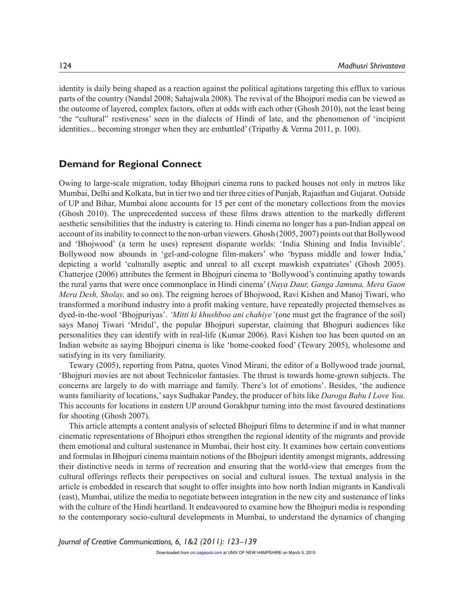identity is daily being shaped as a reaction against the political agitations targeting this efflux to various parts of the country (Nandal 2008; Sahajwala 2008). The revival of the Bhojpuri media can be viewed as the outcome of layered, complex factors, often at odds with each other (Ghosh 2010), not the least being 'the "cultural" restiveness' seen in the dialects of Hindi of late, and the phenomenon of 'incipient identities... becoming stronger when they are embattled' (Tripathy & Verma 2011, p. 100).

# **Demand for Regional Connect**

Owing to large-scale migration, today Bhojpuri cinema runs to packed houses not only in metros like Mumbai, Delhi and Kolkata, but in tier two and tier three cities of Punjab, Rajasthan and Gujarat. Outside of UP and Bihar, Mumbai alone accounts for 15 per cent of the monetary collections from the movies (Ghosh 2010). The unprecedented success of these films draws attention to the markedly different aesthetic sensibilities that the industry is catering to. Hindi cinema no longer has a pan-Indian appeal on account of its inability to connect to the non-urban viewers. Ghosh (2005, 2007) points out that Bollywood and 'Bhojwood' (a term he uses) represent disparate worlds: 'India Shining and India Invisible'. Bollywood now abounds in 'gel-and-cologne film-makers' who 'bypass middle and lower India,' depicting a world 'culturally aseptic and unreal to all except mawkish expatriates' (Ghosh 2005). Chatterjee (2006) attributes the ferment in Bhojpuri cinema to 'Bollywood's continuing apathy towards the rural yarns that were once commonplace in Hindi cinema' (*Naya Daur, Ganga Jamuna, Mera Gaon Mera Desh, Sholay,* and so on). The reigning heroes of Bhojwood, Ravi Kishen and Manoj Tiwari, who transformed a moribund industry into a profit making venture, have repeatedly projected themselves as dyed-in-the-wool 'Bhojpuriyas'. *'Mitti ki khushboo ani chahiye'* (one must get the fragrance of the soil) says Manoj Tiwari 'Mridul', the popular Bhojpuri superstar, claiming that Bhojpuri audiences like personalities they can identify with in real-life (Kumar 2006). Ravi Kishen too has been quoted on an Indian website as saying Bhojpuri cinema is like 'home-cooked food' (Tewary 2005), wholesome and satisfying in its very familiarity.

Tewary (2005), reporting from Patna, quotes Vinod Mirani, the editor of a Bollywood trade journal, 'Bhojpuri movies are not about Technicolor fantasies. The thrust is towards home-grown subjects. The concerns are largely to do with marriage and family. There's lot of emotions'. Besides, 'the audience wants familiarity of locations,' says Sudhakar Pandey, the producer of hits like *Daroga Babu I Love You*. This accounts for locations in eastern UP around Gorakhpur turning into the most favoured destinations for shooting (Ghosh 2007).

This article attempts a content analysis of selected Bhojpuri films to determine if and in what manner cinematic representations of Bhojpuri ethos strengthen the regional identity of the migrants and provide them emotional and cultural sustenance in Mumbai, their host city. It examines how certain conventions and formulas in Bhojpuri cinema maintain notions of the Bhojpuri identity amongst migrants, addressing their distinctive needs in terms of recreation and ensuring that the world-view that emerges from the cultural offerings reflects their perspectives on social and cultural issues. The textual analysis in the article is embedded in research that sought to offer insights into how north Indian migrants in Kandivali (east), Mumbai, utilize the media to negotiate between integration in the new city and sustenance of links with the culture of the Hindi heartland. It endeavoured to examine how the Bhojpuri media is responding to the contemporary socio-cultural developments in Mumbai, to understand the dynamics of changing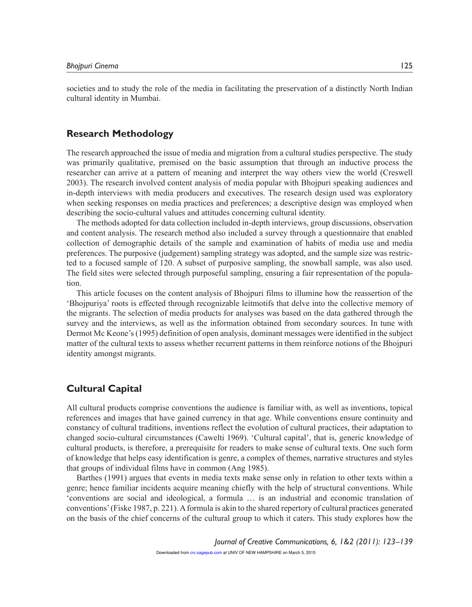societies and to study the role of the media in facilitating the preservation of a distinctly North Indian cultural identity in Mumbai.

### **Research Methodology**

The research approached the issue of media and migration from a cultural studies perspective. The study was primarily qualitative, premised on the basic assumption that through an inductive process the researcher can arrive at a pattern of meaning and interpret the way others view the world (Creswell 2003). The research involved content analysis of media popular with Bhojpuri speaking audiences and in-depth interviews with media producers and executives. The research design used was exploratory when seeking responses on media practices and preferences; a descriptive design was employed when describing the socio-cultural values and attitudes concerning cultural identity.

The methods adopted for data collection included in-depth interviews, group discussions, observation and content analysis. The research method also included a survey through a questionnaire that enabled collection of demographic details of the sample and examination of habits of media use and media preferences. The purposive (judgement) sampling strategy was adopted, and the sample size was restricted to a focused sample of 120. A subset of purposive sampling, the snowball sample, was also used. The field sites were selected through purposeful sampling, ensuring a fair representation of the population.

This article focuses on the content analysis of Bhojpuri films to illumine how the reassertion of the 'Bhojpuriya' roots is effected through recognizable leitmotifs that delve into the collective memory of the migrants. The selection of media products for analyses was based on the data gathered through the survey and the interviews, as well as the information obtained from secondary sources. In tune with Dermot Mc Keone's (1995) definition of open analysis, dominant messages were identified in the subject matter of the cultural texts to assess whether recurrent patterns in them reinforce notions of the Bhojpuri identity amongst migrants.

# **Cultural Capital**

All cultural products comprise conventions the audience is familiar with, as well as inventions, topical references and images that have gained currency in that age. While conventions ensure continuity and constancy of cultural traditions, inventions reflect the evolution of cultural practices, their adaptation to changed socio-cultural circumstances (Cawelti 1969). 'Cultural capital', that is, generic knowledge of cultural products, is therefore, a prerequisite for readers to make sense of cultural texts. One such form of knowledge that helps easy identification is genre, a complex of themes, narrative structures and styles that groups of individual films have in common (Ang 1985).

Barthes (1991) argues that events in media texts make sense only in relation to other texts within a genre; hence familiar incidents acquire meaning chiefly with the help of structural conventions. While 'conventions are social and ideological, a formula … is an industrial and economic translation of conventions' (Fiske 1987, p. 221). A formula is akin to the shared repertory of cultural practices generated on the basis of the chief concerns of the cultural group to which it caters. This study explores how the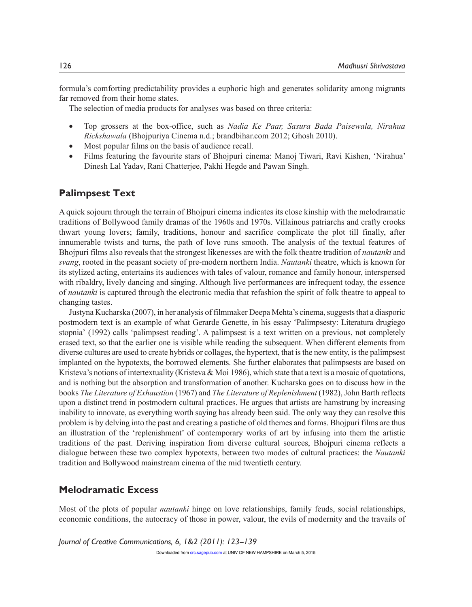formula's comforting predictability provides a euphoric high and generates solidarity among migrants far removed from their home states.

The selection of media products for analyses was based on three criteria:

- • Top grossers at the box-office, such as *Nadia Ke Paar, Sasura Bada Paisewala, Nirahua Rickshawala* (Bhojpuriya Cinema n.d.; brandbihar.com 2012; Ghosh 2010).
- Most popular films on the basis of audience recall.
- Films featuring the favourite stars of Bhojpuri cinema: Manoj Tiwari, Ravi Kishen, 'Nirahua' Dinesh Lal Yadav, Rani Chatterjee, Pakhi Hegde and Pawan Singh.

# **Palimpsest Text**

A quick sojourn through the terrain of Bhojpuri cinema indicates its close kinship with the melodramatic traditions of Bollywood family dramas of the 1960s and 1970s. Villainous patriarchs and crafty crooks thwart young lovers; family, traditions, honour and sacrifice complicate the plot till finally, after innumerable twists and turns, the path of love runs smooth. The analysis of the textual features of Bhojpuri films also reveals that the strongest likenesses are with the folk theatre tradition of *nautanki* and *svang*, rooted in the peasant society of pre-modern northern India. *Nautanki* theatre, which is known for its stylized acting, entertains its audiences with tales of valour, romance and family honour, interspersed with ribaldry, lively dancing and singing. Although live performances are infrequent today, the essence of *nautanki* is captured through the electronic media that refashion the spirit of folk theatre to appeal to changing tastes.

Justyna Kucharska (2007), in her analysis of filmmaker Deepa Mehta's cinema, suggests that a diasporic postmodern text is an example of what Gerarde Genette, in his essay 'Palimpsesty: Literatura drugiego stopnia' (1992) calls 'palimpsest reading'. A palimpsest is a text written on a previous, not completely erased text, so that the earlier one is visible while reading the subsequent. When different elements from diverse cultures are used to create hybrids or collages, the hypertext, that is the new entity, is the palimpsest implanted on the hypotexts, the borrowed elements. She further elaborates that palimpsests are based on Kristeva's notions of intertextuality (Kristeva & Moi 1986), which state that a text is a mosaic of quotations, and is nothing but the absorption and transformation of another. Kucharska goes on to discuss how in the books *The Literature of Exhaustion* (1967) and *TheLiterature of Replenishment* (1982), John Barth reflects upon a distinct trend in postmodern cultural practices. He argues that artists are hamstrung by increasing inability to innovate, as everything worth saying has already been said. The only way they can resolve this problem is by delving into the past and creating a pastiche of old themes and forms. Bhojpuri films are thus an illustration of the 'replenishment' of contemporary works of art by infusing into them the artistic traditions of the past. Deriving inspiration from diverse cultural sources, Bhojpuri cinema reflects a dialogue between these two complex hypotexts, between two modes of cultural practices: the *Nautanki*  tradition and Bollywood mainstream cinema of the mid twentieth century.

# **Melodramatic Excess**

Most of the plots of popular *nautanki* hinge on love relationships, family feuds, social relationships, economic conditions, the autocracy of those in power, valour, the evils of modernity and the travails of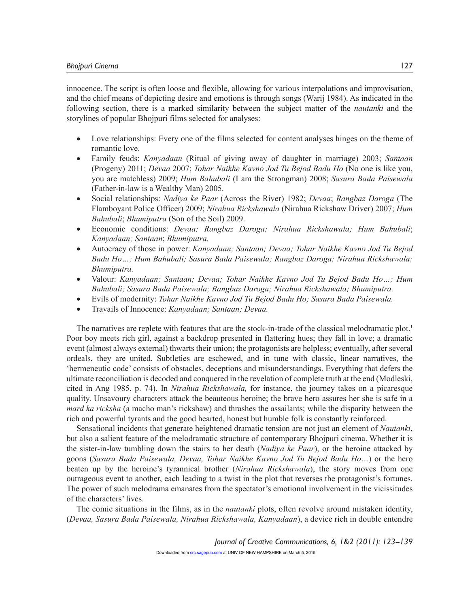innocence. The script is often loose and flexible, allowing for various interpolations and improvisation, and the chief means of depicting desire and emotions is through songs (Warij 1984). As indicated in the following section, there is a marked similarity between the subject matter of the *nautanki* and the storylines of popular Bhojpuri films selected for analyses:

- Love relationships: Every one of the films selected for content analyses hinges on the theme of romantic love.
- Family feuds: *Kanyadaan* (Ritual of giving away of daughter in marriage) 2003; *Santaan* (Progeny) 2011; *Devaa* 2007; *Tohar Naikhe Kavno Jod Tu Bejod Badu Ho* (No one is like you, you are matchless) 2009; *Hum Bahubali* (I am the Strongman) 2008; *Sasura Bada Paisewala*  (Father-in-law is a Wealthy Man) 2005.
- • Social relationships: *Nadiya ke Paar* (Across the River) 1982; *Devaa*; *Rangbaz Daroga* (The Flamboyant Police Officer) 2009; *Nirahua Rickshawala* (Nirahua Rickshaw Driver) 2007; *Hum Bahubali*; *Bhumiputra* (Son of the Soil) 2009.
- Economic conditions: *Devaa; Rangbaz Daroga; Nirahua Rickshawala; Hum Bahubali*; *Kanyadaan; Santaan*; *Bhumiputra.*
- Autocracy of those in power: *Kanyadaan; Santaan; Devaa; Tohar Naikhe Kavno Jod Tu Bejod Badu Ho…; Hum Bahubali; Sasura Bada Paisewala; Rangbaz Daroga; Nirahua Rickshawala; Bhumiputra.*
- • Valour: *Kanyadaan; Santaan; Devaa; Tohar Naikhe Kavno Jod Tu Bejod Badu Ho…; Hum Bahubali; Sasura Bada Paisewala; Rangbaz Daroga; Nirahua Rickshawala; Bhumiputra.*
- • Evils of modernity: *Tohar Naikhe Kavno Jod Tu Bejod Badu Ho; Sasura Bada Paisewala.*
- Travails of Innocence: *Kanyadaan; Santaan; Devaa.*

The narratives are replete with features that are the stock-in-trade of the classical melodramatic plot.<sup>1</sup> Poor boy meets rich girl, against a backdrop presented in flattering hues; they fall in love; a dramatic event (almost always external) thwarts their union; the protagonists are helpless; eventually, after several ordeals, they are united. Subtleties are eschewed, and in tune with classic, linear narratives, the 'hermeneutic code' consists of obstacles, deceptions and misunderstandings. Everything that defers the ultimate reconciliation is decoded and conquered in the revelation of complete truth at the end (Modleski, cited in Ang 1985, p. 74). In *Nirahua Rickshawala,* for instance, the journey takes on a picaresque quality. Unsavoury characters attack the beauteous heroine; the brave hero assures her she is safe in a *mard ka ricksha* (a macho man's rickshaw) and thrashes the assailants; while the disparity between the rich and powerful tyrants and the good hearted, honest but humble folk is constantly reinforced.

Sensational incidents that generate heightened dramatic tension are not just an element of *Nautanki*, but also a salient feature of the melodramatic structure of contemporary Bhojpuri cinema. Whether it is the sister-in-law tumbling down the stairs to her death (*Nadiya ke Paar*), or the heroine attacked by goons (*Sasura Bada Paisewala, Devaa, Tohar Naikhe Kavno Jod Tu Bejod Badu Ho…*) or the hero beaten up by the heroine's tyrannical brother (*Nirahua Rickshawala*), the story moves from one outrageous event to another, each leading to a twist in the plot that reverses the protagonist's fortunes. The power of such melodrama emanates from the spectator's emotional involvement in the vicissitudes of the characters' lives.

The comic situations in the films, as in the *nautanki* plots, often revolve around mistaken identity, (*Devaa, Sasura Bada Paisewala, Nirahua Rickshawala, Kanyadaan*), a device rich in double entendre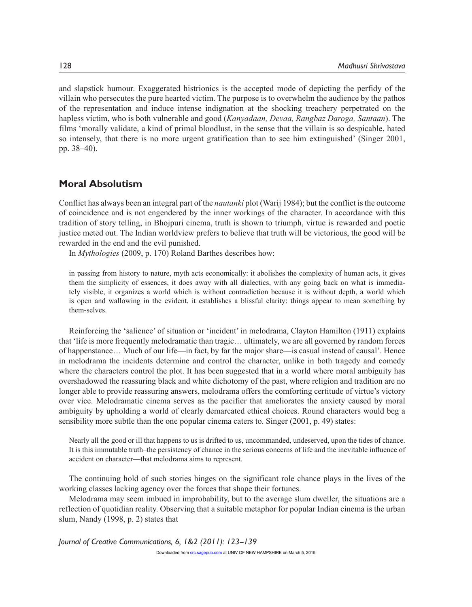and slapstick humour. Exaggerated histrionics is the accepted mode of depicting the perfidy of the villain who persecutes the pure hearted victim. The purpose is to overwhelm the audience by the pathos of the representation and induce intense indignation at the shocking treachery perpetrated on the hapless victim, who is both vulnerable and good (*Kanyadaan, Devaa, Rangbaz Daroga, Santaan*). The films 'morally validate, a kind of primal bloodlust, in the sense that the villain is so despicable, hated so intensely, that there is no more urgent gratification than to see him extinguished' (Singer 2001, pp. 38–40).

# **Moral Absolutism**

Conflict has always been an integral part of the *nautanki* plot (Warij 1984); but the conflict is the outcome of coincidence and is not engendered by the inner workings of the character. In accordance with this tradition of story telling, in Bhojpuri cinema, truth is shown to triumph, virtue is rewarded and poetic justice meted out. The Indian worldview prefers to believe that truth will be victorious, the good will be rewarded in the end and the evil punished.

In *Mythologies* (2009, p. 170) Roland Barthes describes how:

in passing from history to nature, myth acts economically: it abolishes the complexity of human acts, it gives them the simplicity of essences, it does away with all dialectics, with any going back on what is immediately visible, it organizes a world which is without contradiction because it is without depth, a world which is open and wallowing in the evident, it establishes a blissful clarity: things appear to mean something by them-selves.

Reinforcing the 'salience' of situation or 'incident' in melodrama, Clayton Hamilton (1911) explains that 'life is more frequently melodramatic than tragic… ultimately, we are all governed by random forces of happenstance… Much of our life—in fact, by far the major share—is casual instead of causal'. Hence in melodrama the incidents determine and control the character, unlike in both tragedy and comedy where the characters control the plot. It has been suggested that in a world where moral ambiguity has overshadowed the reassuring black and white dichotomy of the past, where religion and tradition are no longer able to provide reassuring answers, melodrama offers the comforting certitude of virtue's victory over vice. Melodramatic cinema serves as the pacifier that ameliorates the anxiety caused by moral ambiguity by upholding a world of clearly demarcated ethical choices. Round characters would beg a sensibility more subtle than the one popular cinema caters to. Singer (2001, p. 49) states:

Nearly all the good or ill that happens to us is drifted to us, uncommanded, undeserved, upon the tides of chance. It is this immutable truth–the persistency of chance in the serious concerns of life and the inevitable influence of accident on character—that melodrama aims to represent.

The continuing hold of such stories hinges on the significant role chance plays in the lives of the working classes lacking agency over the forces that shape their fortunes.

Melodrama may seem imbued in improbability, but to the average slum dweller, the situations are a reflection of quotidian reality. Observing that a suitable metaphor for popular Indian cinema is the urban slum, Nandy (1998, p. 2) states that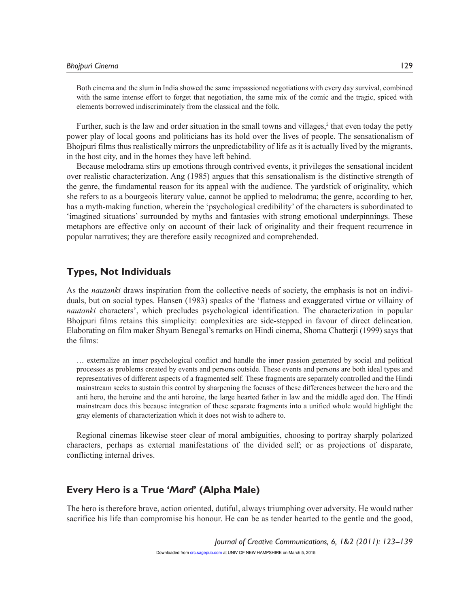Both cinema and the slum in India showed the same impassioned negotiations with every day survival, combined with the same intense effort to forget that negotiation, the same mix of the comic and the tragic, spiced with elements borrowed indiscriminately from the classical and the folk.

Further, such is the law and order situation in the small towns and villages,<sup>2</sup> that even today the petty power play of local goons and politicians has its hold over the lives of people. The sensationalism of Bhojpuri films thus realistically mirrors the unpredictability of life as it is actually lived by the migrants, in the host city, and in the homes they have left behind.

Because melodrama stirs up emotions through contrived events, it privileges the sensational incident over realistic characterization. Ang (1985) argues that this sensationalism is the distinctive strength of the genre, the fundamental reason for its appeal with the audience. The yardstick of originality, which she refers to as a bourgeois literary value, cannot be applied to melodrama; the genre, according to her, has a myth-making function, wherein the 'psychological credibility' of the characters is subordinated to 'imagined situations' surrounded by myths and fantasies with strong emotional underpinnings. These metaphors are effective only on account of their lack of originality and their frequent recurrence in popular narratives; they are therefore easily recognized and comprehended.

# **Types, Not Individuals**

As the *nautanki* draws inspiration from the collective needs of society, the emphasis is not on individuals, but on social types. Hansen (1983) speaks of the 'flatness and exaggerated virtue or villainy of *nautanki* characters', which precludes psychological identification. The characterization in popular Bhojpuri films retains this simplicity: complexities are side-stepped in favour of direct delineation. Elaborating on film maker Shyam Benegal's remarks on Hindi cinema, Shoma Chatterji (1999) says that the films:

… externalize an inner psychological conflict and handle the inner passion generated by social and political processes as problems created by events and persons outside. These events and persons are both ideal types and representatives of different aspects of a fragmented self. These fragments are separately controlled and the Hindi mainstream seeks to sustain this control by sharpening the focuses of these differences between the hero and the anti hero, the heroine and the anti heroine, the large hearted father in law and the middle aged don. The Hindi mainstream does this because integration of these separate fragments into a unified whole would highlight the gray elements of characterization which it does not wish to adhere to.

Regional cinemas likewise steer clear of moral ambiguities, choosing to portray sharply polarized characters, perhaps as external manifestations of the divided self; or as projections of disparate, conflicting internal drives.

# **Every Hero is a True '***Mard***' (Alpha Male)**

The hero is therefore brave, action oriented, dutiful, always triumphing over adversity. He would rather sacrifice his life than compromise his honour. He can be as tender hearted to the gentle and the good,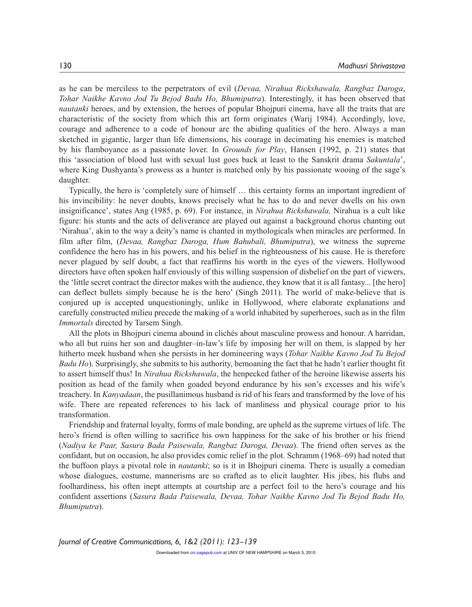as he can be merciless to the perpetrators of evil (*Devaa, Nirahua Rickshawala, Rangbaz Daroga*, *Tohar Naikhe Kavno Jod Tu Bejod Badu Ho, Bhumiputra*). Interestingly, it has been observed that *nautanki* heroes, and by extension, the heroes of popular Bhojpuri cinema, have all the traits that are characteristic of the society from which this art form originates (Warij 1984). Accordingly, love, courage and adherence to a code of honour are the abiding qualities of the hero. Always a man sketched in gigantic, larger than life dimensions, his courage in decimating his enemies is matched by his flamboyance as a passionate lover. In *Grounds for Play*, Hansen (1992, p. 21) states that this 'association of blood lust with sexual lust goes back at least to the Sanskrit drama *Sakuntala*', where King Dushyanta's prowess as a hunter is matched only by his passionate wooing of the sage's daughter.

Typically, the hero is 'completely sure of himself … this certainty forms an important ingredient of his invincibility: he never doubts, knows precisely what he has to do and never dwells on his own insignificance', states Ang (1985, p. 69). For instance, in *Nirahua Rickshawala,* Nirahua is a cult like figure: his stunts and the acts of deliverance are played out against a background chorus chanting out 'Nirahua', akin to the way a deity's name is chanted in mythologicals when miracles are performed. In film after film, (*Devaa, Rangbaz Daroga, Hum Bahubali, Bhumiputra*), we witness the supreme confidence the hero has in his powers, and his belief in the righteousness of his cause. He is therefore never plagued by self doubt, a fact that reaffirms his worth in the eyes of the viewers. Hollywood directors have often spoken half enviously of this willing suspension of disbelief on the part of viewers, the 'little secret contract the director makes with the audience, they know that it is all fantasy... [the hero] can deflect bullets simply because he is the hero' (Singh 2011). The world of make-believe that is conjured up is accepted unquestioningly, unlike in Hollywood, where elaborate explanations and carefully constructed milieu precede the making of a world inhabited by superheroes, such as in the film *Immortals* directed by Tarsem Singh.

All the plots in Bhojpuri cinema abound in clichés about masculine prowess and honour. A harridan, who all but ruins her son and daughter–in-law's life by imposing her will on them, is slapped by her hitherto meek husband when she persists in her domineering ways (*Tohar Naikhe Kavno Jod Tu Bejod Badu Ho*). Surprisingly, she submits to his authority, bemoaning the fact that he hadn't earlier thought fit to assert himself thus! In *Nirahua Rickshawala*, the henpecked father of the heroine likewise asserts his position as head of the family when goaded beyond endurance by his son's excesses and his wife's treachery. In *Kanyadaan*, the pusillanimous husband is rid of his fears and transformed by the love of his wife. There are repeated references to his lack of manliness and physical courage prior to his transformation.

Friendship and fraternal loyalty, forms of male bonding, are upheld as the supreme virtues of life. The hero's friend is often willing to sacrifice his own happiness for the sake of his brother or his friend (*Nadiya ke Paar, Sasura Bada Paisewala, Rangbaz Daroga, Devaa*). The friend often serves as the confidant, but on occasion, he also provides comic relief in the plot. Schramm (1968–69) had noted that the buffoon plays a pivotal role in *nautanki*; so is it in Bhojpuri cinema. There is usually a comedian whose dialogues, costume, mannerisms are so crafted as to elicit laughter. His jibes, his flubs and foolhardiness, his often inept attempts at courtship are a perfect foil to the hero's courage and his confident assertions (*Sasura Bada Paisewala, Devaa, Tohar Naikhe Kavno Jod Tu Bejod Badu Ho, Bhumiputra*).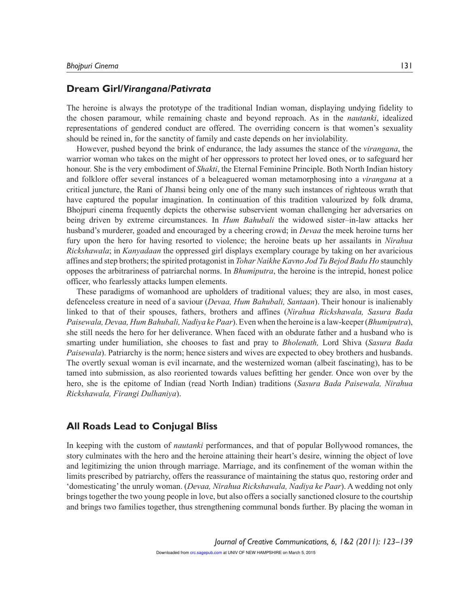### **Dream Girl/***Virangana/Pativrata*

The heroine is always the prototype of the traditional Indian woman, displaying undying fidelity to the chosen paramour, while remaining chaste and beyond reproach. As in the *nautanki*, idealized representations of gendered conduct are offered. The overriding concern is that women's sexuality should be reined in, for the sanctity of family and caste depends on her inviolability.

However, pushed beyond the brink of endurance, the lady assumes the stance of the *virangana*, the warrior woman who takes on the might of her oppressors to protect her loved ones, or to safeguard her honour. She is the very embodiment of *Shakti*, the Eternal Feminine Principle. Both North Indian history and folklore offer several instances of a beleaguered woman metamorphosing into a *virangana* at a critical juncture, the Rani of Jhansi being only one of the many such instances of righteous wrath that have captured the popular imagination. In continuation of this tradition valourized by folk drama, Bhojpuri cinema frequently depicts the otherwise subservient woman challenging her adversaries on being driven by extreme circumstances. In *Hum Bahubali* the widowed sister–in-law attacks her husband's murderer, goaded and encouraged by a cheering crowd; in *Devaa* the meek heroine turns her fury upon the hero for having resorted to violence; the heroine beats up her assailants in *Nirahua Rickshawala*; in *Kanyadaan* the oppressed girl displays exemplary courage by taking on her avaricious affines and step brothers; the spirited protagonist in *Tohar Naikhe Kavno Jod Tu Bejod Badu Ho* staunchly opposes the arbitrariness of patriarchal norms. In *Bhumiputra*, the heroine is the intrepid, honest police officer, who fearlessly attacks lumpen elements.

These paradigms of womanhood are upholders of traditional values; they are also, in most cases, defenceless creature in need of a saviour (*Devaa, Hum Bahubali, Santaan*). Their honour is inalienably linked to that of their spouses, fathers, brothers and affines (*Nirahua Rickshawala, Sasura Bada Paisewala, Devaa, Hum Bahubali, Nadiya ke Paar*). Even when the heroine is a law-keeper (*Bhumiputra*), she still needs the hero for her deliverance. When faced with an obdurate father and a husband who is smarting under humiliation, she chooses to fast and pray to *Bholenath,* Lord Shiva (*Sasura Bada Paisewala*). Patriarchy is the norm; hence sisters and wives are expected to obey brothers and husbands. The overtly sexual woman is evil incarnate, and the westernized woman (albeit fascinating), has to be tamed into submission, as also reoriented towards values befitting her gender. Once won over by the hero, she is the epitome of Indian (read North Indian) traditions (*Sasura Bada Paisewala, Nirahua Rickshawala, Firangi Dulhaniya*).

### **All Roads Lead to Conjugal Bliss**

In keeping with the custom of *nautanki* performances, and that of popular Bollywood romances, the story culminates with the hero and the heroine attaining their heart's desire, winning the object of love and legitimizing the union through marriage. Marriage, and its confinement of the woman within the limits prescribed by patriarchy, offers the reassurance of maintaining the status quo, restoring order and 'domesticating' the unruly woman. (*Devaa, Nirahua Rickshawala, Nadiya ke Paar*). A wedding not only brings together the two young people in love, but also offers a socially sanctioned closure to the courtship and brings two families together, thus strengthening communal bonds further. By placing the woman in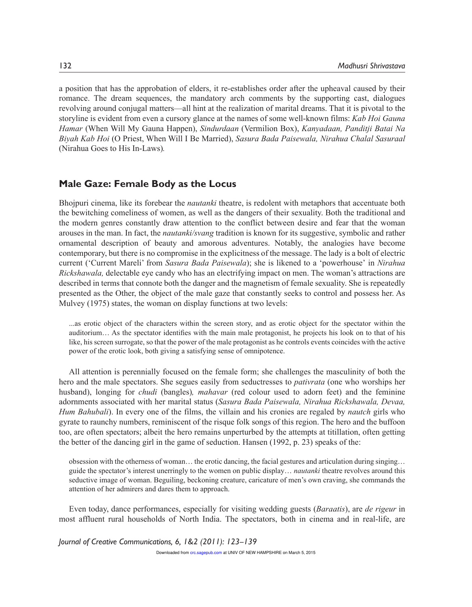a position that has the approbation of elders, it re-establishes order after the upheaval caused by their romance. The dream sequences, the mandatory arch comments by the supporting cast, dialogues revolving around conjugal matters—all hint at the realization of marital dreams. That it is pivotal to the storyline is evident from even a cursory glance at the names of some well-known films: *Kab Hoi Gauna Hamar* (When Will My Gauna Happen), *Sindurdaan* (Vermilion Box), *Kanyadaan, Panditji Batai Na Biyah Kab Hoi* (O Priest, When Will I Be Married), *Sasura Bada Paisewala, Nirahua Chalal Sasuraal*  (Nirahua Goes to His In-Laws)*.*

# **Male Gaze: Female Body as the Locus**

Bhojpuri cinema, like its forebear the *nautanki* theatre, is redolent with metaphors that accentuate both the bewitching comeliness of women, as well as the dangers of their sexuality. Both the traditional and the modern genres constantly draw attention to the conflict between desire and fear that the woman arouses in the man. In fact, the *nautanki/svang* tradition is known for its suggestive, symbolic and rather ornamental description of beauty and amorous adventures. Notably, the analogies have become contemporary, but there is no compromise in the explicitness of the message. The lady is a bolt of electric current ('Current Mareli' from *Sasura Bada Paisewala*); she is likened to a 'powerhouse' in *Nirahua Rickshawala,* delectable eye candy who has an electrifying impact on men. The woman's attractions are described in terms that connote both the danger and the magnetism of female sexuality. She is repeatedly presented as the Other, the object of the male gaze that constantly seeks to control and possess her. As Mulvey (1975) states, the woman on display functions at two levels:

...as erotic object of the characters within the screen story, and as erotic object for the spectator within the auditorium… As the spectator identifies with the main male protagonist, he projects his look on to that of his like, his screen surrogate, so that the power of the male protagonist as he controls events coincides with the active power of the erotic look, both giving a satisfying sense of omnipotence.

All attention is perennially focused on the female form; she challenges the masculinity of both the hero and the male spectators. She segues easily from seductresses to *pativrata* (one who worships her husband), longing for *chudi* (bangles), *mahavar* (red colour used to adorn feet) and the feminine adornments associated with her marital status (*Sasura Bada Paisewala, Nirahua Rickshawala, Devaa, Hum Bahubali*). In every one of the films, the villain and his cronies are regaled by *nautch* girls who gyrate to raunchy numbers, reminiscent of the risque folk songs of this region. The hero and the buffoon too, are often spectators; albeit the hero remains unperturbed by the attempts at titillation, often getting the better of the dancing girl in the game of seduction. Hansen (1992, p. 23) speaks of the:

obsession with the otherness of woman… the erotic dancing, the facial gestures and articulation during singing… guide the spectator's interest unerringly to the women on public display… *nautanki* theatre revolves around this seductive image of woman. Beguiling, beckoning creature, caricature of men's own craving, she commands the attention of her admirers and dares them to approach.

Even today, dance performances, especially for visiting wedding guests (*Baraatis*), are *de rigeur* in most affluent rural households of North India. The spectators, both in cinema and in real-life, are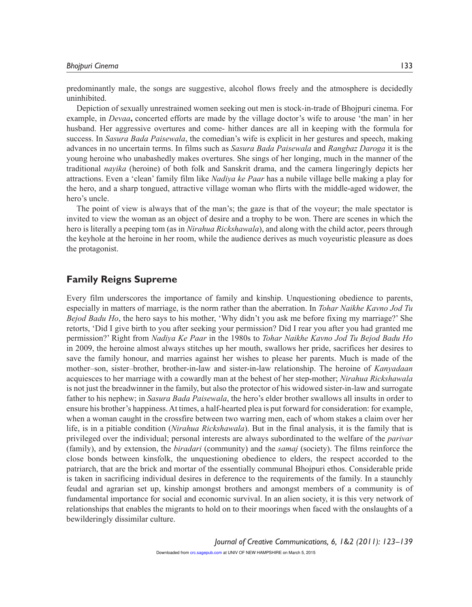predominantly male, the songs are suggestive, alcohol flows freely and the atmosphere is decidedly uninhibited.

Depiction of sexually unrestrained women seeking out men is stock-in-trade of Bhojpuri cinema. For example, in *Devaa***,** concerted efforts are made by the village doctor's wife to arouse 'the man' in her husband. Her aggressive overtures and come- hither dances are all in keeping with the formula for success. In *Sasura Bada Paisewala*, the comedian's wife is explicit in her gestures and speech, making advances in no uncertain terms. In films such as *Sasura Bada Paisewala* and *Rangbaz Daroga* it is the young heroine who unabashedly makes overtures. She sings of her longing, much in the manner of the traditional *nayika* (heroine) of both folk and Sanskrit drama, and the camera lingeringly depicts her attractions. Even a 'clean' family film like *Nadiya ke Paar* has a nubile village belle making a play for the hero, and a sharp tongued, attractive village woman who flirts with the middle-aged widower, the hero's uncle.

The point of view is always that of the man's; the gaze is that of the voyeur; the male spectator is invited to view the woman as an object of desire and a trophy to be won. There are scenes in which the hero is literally a peeping tom (as in *Nirahua Rickshawala*), and along with the child actor, peers through the keyhole at the heroine in her room, while the audience derives as much voyeuristic pleasure as does the protagonist.

# **Family Reigns Supreme**

Every film underscores the importance of family and kinship. Unquestioning obedience to parents, especially in matters of marriage, is the norm rather than the aberration. In *Tohar Naikhe Kavno Jod Tu Bejod Badu Ho*, the hero says to his mother, 'Why didn't you ask me before fixing my marriage?' She retorts, 'Did I give birth to you after seeking your permission? Did I rear you after you had granted me permission?' Right from *Nadiya Ke Paar* in the 1980s to *Tohar Naikhe Kavno Jod Tu Bejod Badu Ho*  in 2009, the heroine almost always stitches up her mouth, swallows her pride, sacrifices her desires to save the family honour, and marries against her wishes to please her parents. Much is made of the mother–son, sister–brother, brother-in-law and sister-in-law relationship. The heroine of *Kanyadaan*  acquiesces to her marriage with a cowardly man at the behest of her step-mother; *Nirahua Rickshawala* is not just the breadwinner in the family, but also the protector of his widowed sister-in-law and surrogate father to his nephew; in *Sasura Bada Paisewala*, the hero's elder brother swallows all insults in order to ensure his brother's happiness. At times, a half-hearted plea is put forward for consideration: for example, when a woman caught in the crossfire between two warring men, each of whom stakes a claim over her life, is in a pitiable condition (*Nirahua Rickshawala*). But in the final analysis, it is the family that is privileged over the individual; personal interests are always subordinated to the welfare of the *parivar* (family), and by extension, the *biradari* (community) and the *samaj* (society). The films reinforce the close bonds between kinsfolk, the unquestioning obedience to elders, the respect accorded to the patriarch, that are the brick and mortar of the essentially communal Bhojpuri ethos. Considerable pride is taken in sacrificing individual desires in deference to the requirements of the family. In a staunchly feudal and agrarian set up, kinship amongst brothers and amongst members of a community is of fundamental importance for social and economic survival. In an alien society, it is this very network of relationships that enables the migrants to hold on to their moorings when faced with the onslaughts of a bewilderingly dissimilar culture.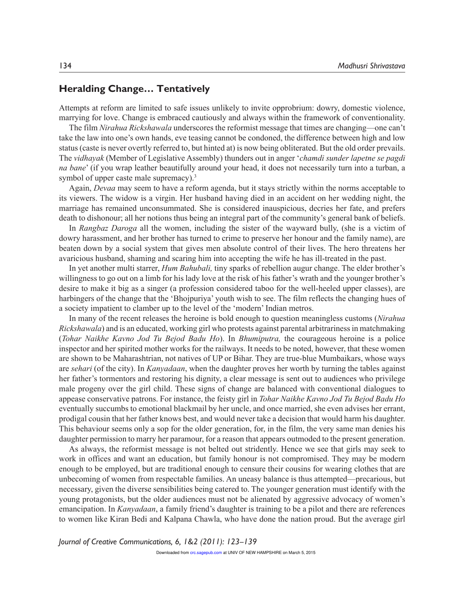# **Heralding Change… Tentatively**

Attempts at reform are limited to safe issues unlikely to invite opprobrium: dowry, domestic violence, marrying for love. Change is embraced cautiously and always within the framework of conventionality.

The film *Nirahua Rickshawala* underscores the reformist message that times are changing—one can't take the law into one's own hands, eve teasing cannot be condoned, the difference between high and low status (caste is never overtly referred to, but hinted at) is now being obliterated. But the old order prevails. The *vidhayak* (Member of Legislative Assembly) thunders out in anger '*chamdi sunder lapetne se pagdi na bane*' (if you wrap leather beautifully around your head, it does not necessarily turn into a turban, a symbol of upper caste male supremacy).<sup>3</sup>

Again, *Devaa* may seem to have a reform agenda, but it stays strictly within the norms acceptable to its viewers. The widow is a virgin. Her husband having died in an accident on her wedding night, the marriage has remained unconsummated. She is considered inauspicious, decries her fate, and prefers death to dishonour; all her notions thus being an integral part of the community's general bank of beliefs.

In *Rangbaz Daroga* all the women, including the sister of the wayward bully, (she is a victim of dowry harassment, and her brother has turned to crime to preserve her honour and the family name), are beaten down by a social system that gives men absolute control of their lives. The hero threatens her avaricious husband, shaming and scaring him into accepting the wife he has ill-treated in the past.

In yet another multi starrer, *Hum Bahubali,* tiny sparks of rebellion augur change. The elder brother's willingness to go out on a limb for his lady love at the risk of his father's wrath and the younger brother's desire to make it big as a singer (a profession considered taboo for the well-heeled upper classes), are harbingers of the change that the 'Bhojpuriya' youth wish to see. The film reflects the changing hues of a society impatient to clamber up to the level of the 'modern' Indian metros.

In many of the recent releases the heroine is bold enough to question meaningless customs (*Nirahua Rickshawala*) and is an educated, working girl who protests against parental arbitrariness in matchmaking (*Tohar Naikhe Kavno Jod Tu Bejod Badu Ho*). In *Bhumiputra,* the courageous heroine is a police inspector and her spirited mother works for the railways. It needs to be noted, however, that these women are shown to be Maharashtrian, not natives of UP or Bihar. They are true-blue Mumbaikars, whose ways are *sehari* (of the city). In *Kanyadaan*, when the daughter proves her worth by turning the tables against her father's tormentors and restoring his dignity, a clear message is sent out to audiences who privilege male progeny over the girl child. These signs of change are balanced with conventional dialogues to appease conservative patrons. For instance, the feisty girl in *Tohar Naikhe Kavno Jod Tu Bejod Badu Ho* eventually succumbs to emotional blackmail by her uncle, and once married, she even advises her errant, prodigal cousin that her father knows best, and would never take a decision that would harm his daughter. This behaviour seems only a sop for the older generation, for, in the film, the very same man denies his daughter permission to marry her paramour, for a reason that appears outmoded to the present generation.

As always, the reformist message is not belted out stridently. Hence we see that girls may seek to work in offices and want an education, but family honour is not compromised. They may be modern enough to be employed, but are traditional enough to censure their cousins for wearing clothes that are unbecoming of women from respectable families. An uneasy balance is thus attempted—precarious, but necessary, given the diverse sensibilities being catered to. The younger generation must identify with the young protagonists, but the older audiences must not be alienated by aggressive advocacy of women's emancipation. In *Kanyadaan*, a family friend's daughter is training to be a pilot and there are references to women like Kiran Bedi and Kalpana Chawla, who have done the nation proud. But the average girl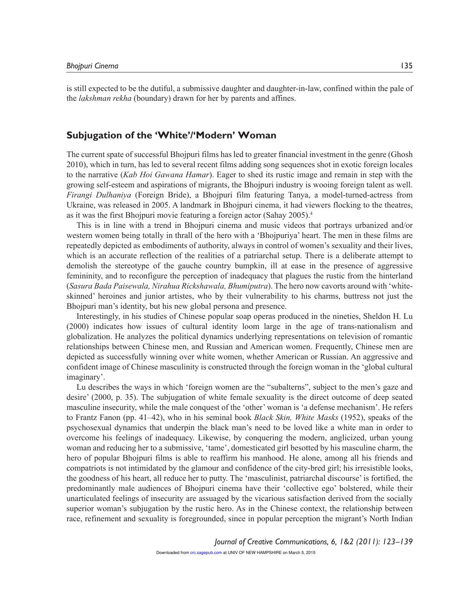is still expected to be the dutiful, a submissive daughter and daughter-in-law, confined within the pale of the *lakshman rekha* (boundary) drawn for her by parents and affines.

# **Subjugation of the 'White'/'Modern' Woman**

The current spate of successful Bhojpuri films has led to greater financial investment in the genre (Ghosh 2010), which in turn, has led to several recent films adding song sequences shot in exotic foreign locales to the narrative (*Kab Hoi Gawana Hamar*). Eager to shed its rustic image and remain in step with the growing self-esteem and aspirations of migrants, the Bhojpuri industry is wooing foreign talent as well. *Firangi Dulhaniya* (Foreign Bride), a Bhojpuri film featuring Tanya, a model-turned-actress from Ukraine, was released in 2005. A landmark in Bhojpuri cinema, it had viewers flocking to the theatres, as it was the first Bhojpuri movie featuring a foreign actor (Sahay 2005).<sup>4</sup>

This is in line with a trend in Bhojpuri cinema and music videos that portrays urbanized and/or western women being totally in thrall of the hero with a 'Bhojpuriya' heart. The men in these films are repeatedly depicted as embodiments of authority, always in control of women's sexuality and their lives, which is an accurate reflection of the realities of a patriarchal setup. There is a deliberate attempt to demolish the stereotype of the gauche country bumpkin, ill at ease in the presence of aggressive femininity, and to reconfigure the perception of inadequacy that plagues the rustic from the hinterland (*Sasura Bada Paisewala, Nirahua Rickshawala, Bhumiputra*). The hero now cavorts around with 'whiteskinned' heroines and junior artistes, who by their vulnerability to his charms, buttress not just the Bhojpuri man's identity, but his new global persona and presence.

Interestingly, in his studies of Chinese popular soap operas produced in the nineties, Sheldon H. Lu (2000) indicates how issues of cultural identity loom large in the age of trans-nationalism and globalization. He analyzes the political dynamics underlying representations on television of romantic relationships between Chinese men, and Russian and American women. Frequently, Chinese men are depicted as successfully winning over white women, whether American or Russian. An aggressive and confident image of Chinese masculinity is constructed through the foreign woman in the 'global cultural imaginary'.

Lu describes the ways in which 'foreign women are the "subalterns", subject to the men's gaze and desire' (2000, p. 35). The subjugation of white female sexuality is the direct outcome of deep seated masculine insecurity, while the male conquest of the 'other' woman is 'a defense mechanism'. He refers to Frantz Fanon (pp. 41–42), who in his seminal book *Black Skin, White Masks* (1952), speaks of the psychosexual dynamics that underpin the black man's need to be loved like a white man in order to overcome his feelings of inadequacy. Likewise, by conquering the modern, anglicized, urban young woman and reducing her to a submissive, 'tame', domesticated girl besotted by his masculine charm, the hero of popular Bhojpuri films is able to reaffirm his manhood. He alone, among all his friends and compatriots is not intimidated by the glamour and confidence of the city-bred girl; his irresistible looks, the goodness of his heart, all reduce her to putty. The 'masculinist, patriarchal discourse' is fortified, the predominantly male audiences of Bhojpuri cinema have their 'collective ego' bolstered, while their unarticulated feelings of insecurity are assuaged by the vicarious satisfaction derived from the socially superior woman's subjugation by the rustic hero. As in the Chinese context, the relationship between race, refinement and sexuality is foregrounded, since in popular perception the migrant's North Indian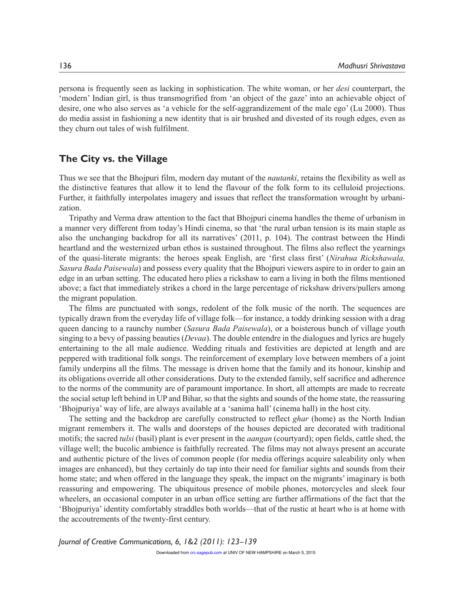persona is frequently seen as lacking in sophistication. The white woman, or her *desi* counterpart, the 'modern' Indian girl, is thus transmogrified from 'an object of the gaze' into an achievable object of desire, one who also serves as 'a vehicle for the self-aggrandizement of the male ego' (Lu 2000). Thus do media assist in fashioning a new identity that is air brushed and divested of its rough edges, even as they churn out tales of wish fulfilment.

### **The City vs. the Village**

Thus we see that the Bhojpuri film, modern day mutant of the *nautanki*, retains the flexibility as well as the distinctive features that allow it to lend the flavour of the folk form to its celluloid projections. Further, it faithfully interpolates imagery and issues that reflect the transformation wrought by urbanization.

Tripathy and Verma draw attention to the fact that Bhojpuri cinema handles the theme of urbanism in a manner very different from today's Hindi cinema, so that 'the rural urban tension is its main staple as also the unchanging backdrop for all its narratives' (2011, p. 104). The contrast between the Hindi heartland and the westernized urban ethos is sustained throughout. The films also reflect the yearnings of the quasi-literate migrants: the heroes speak English, are 'first class first' (*Nirahua Rickshawala, Sasura Bada Paisewala*) and possess every quality that the Bhojpuri viewers aspire to in order to gain an edge in an urban setting. The educated hero plies a rickshaw to earn a living in both the films mentioned above; a fact that immediately strikes a chord in the large percentage of rickshaw drivers/pullers among the migrant population.

The films are punctuated with songs, redolent of the folk music of the north. The sequences are typically drawn from the everyday life of village folk—for instance, a toddy drinking session with a drag queen dancing to a raunchy number (*Sasura Bada Paisewala*), or a boisterous bunch of village youth singing to a bevy of passing beauties (*Devaa*). The double entendre in the dialogues and lyrics are hugely entertaining to the all male audience. Wedding rituals and festivities are depicted at length and are peppered with traditional folk songs. The reinforcement of exemplary love between members of a joint family underpins all the films. The message is driven home that the family and its honour, kinship and its obligations override all other considerations. Duty to the extended family, self sacrifice and adherence to the norms of the community are of paramount importance. In short, all attempts are made to recreate the social setup left behind in UP and Bihar, so that the sights and sounds of the home state, the reassuring 'Bhojpuriya' way of life, are always available at a 'sanima hall' (cinema hall) in the host city.

The setting and the backdrop are carefully constructed to reflect *ghar* (home) as the North Indian migrant remembers it. The walls and doorsteps of the houses depicted are decorated with traditional motifs; the sacred *tulsi* (basil) plant is ever present in the *aangan* (courtyard); open fields, cattle shed, the village well; the bucolic ambience is faithfully recreated. The films may not always present an accurate and authentic picture of the lives of common people (for media offerings acquire saleability only when images are enhanced), but they certainly do tap into their need for familiar sights and sounds from their home state; and when offered in the language they speak, the impact on the migrants' imaginary is both reassuring and empowering. The ubiquitous presence of mobile phones, motorcycles and sleek four wheelers, an occasional computer in an urban office setting are further affirmations of the fact that the 'Bhojpuriya' identity comfortably straddles both worlds—that of the rustic at heart who is at home with the accoutrements of the twenty-first century.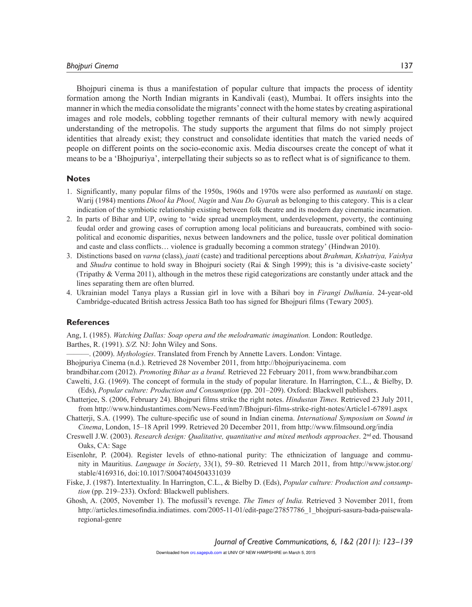Bhojpuri cinema is thus a manifestation of popular culture that impacts the process of identity formation among the North Indian migrants in Kandivali (east), Mumbai. It offers insights into the manner in which the media consolidate the migrants' connect with the home states by creating aspirational images and role models, cobbling together remnants of their cultural memory with newly acquired understanding of the metropolis. The study supports the argument that films do not simply project identities that already exist; they construct and consolidate identities that match the varied needs of people on different points on the socio-economic axis. Media discourses create the concept of what it means to be a 'Bhojpuriya', interpellating their subjects so as to reflect what is of significance to them.

#### **Notes**

- 1. Significantly, many popular films of the 1950s, 1960s and 1970s were also performed as *nautanki* on stage. Warij (1984) mentions *Dhool ka Phool, Nagin* and *Nau Do Gyarah* as belonging to this category. This is a clear indication of the symbiotic relationship existing between folk theatre and its modern day cinematic incarnation.
- 2. In parts of Bihar and UP, owing to 'wide spread unemployment, underdevelopment, poverty, the continuing feudal order and growing cases of corruption among local politicians and bureaucrats, combined with sociopolitical and economic disparities, nexus between landowners and the police, tussle over political domination and caste and class conflicts… violence is gradually becoming a common strategy' (Hindwan 2010).
- 3. Distinctions based on *varna* (class), *jaati* (caste) and traditional perceptions about *Brahman, Kshatriya, Vaishya*  and *Shudra* continue to hold sway in Bhojpuri society (Rai & Singh 1999); this is 'a divisive-caste society' (Tripathy & Verma 2011), although in the metros these rigid categorizations are constantly under attack and the lines separating them are often blurred.
- 4. Ukrainian model Tanya plays a Russian girl in love with a Bihari boy in *Firangi Dulhania*. 24-year-old Cambridge-educated British actress Jessica Bath too has signed for Bhojpuri films (Tewary 2005).

#### **References**

Ang, I. (1985). *Watching Dallas: Soap opera and the melodramatic imagination.* London: Routledge. Barthes, R. (1991). *S/Z.* NJ: John Wiley and Sons.

———. (2009). *Mythologies*. Translated from French by Annette Lavers. London: Vintage.

Bhojpuriya Cinema (n.d.). Retrieved 28 November 2011, from http://bhojpuriyacinema. com

brandbihar.com (2012). *Promoting Bihar as a brand.* Retrieved 22 February 2011, from www.brandbihar.com Cawelti, J.G. (1969). The concept of formula in the study of popular literature. In Harrington, C.L., & Bielby, D.

- (Eds), *Popular culture: Production and Consumption* (pp. 201–209). Oxford: Blackwell publishers. Chatterjee, S. (2006, February 24). Bhojpuri films strike the right notes. *Hindustan Times.* Retrieved 23 July 2011,
- from http://www.hindustantimes.com/News-Feed/nm7/Bhojpuri-films-strike-right-notes/Article1-67891.aspx Chatterji, S.A. (1999). The culture-specific use of sound in Indian cinema. *International Symposium on Sound in*
- *Cinema*, London, 15–18 April 1999. Retrieved 20 December 2011, from http://www.filmsound.org/india

Creswell J.W. (2003). *Research design: Qualitative, quantitative and mixed methods approaches*. 2nd ed. Thousand Oaks, CA: Sage

- Eisenlohr, P. (2004). Register levels of ethno-national purity: The ethnicization of language and community in Mauritius. *Language in Society*, 33(1), 59–80. Retrieved 11 March 2011, from http://www.jstor.org/ stable/4169316, doi:10.1017/S0047404504331039
- Fiske, J. (1987). Intertextuality. In Harrington, C.L., & Bielby D. (Eds), *Popular culture: Production and consumption* (pp. 219–233). Oxford: Blackwell publishers.
- Ghosh, A. (2005, November 1). The mofussil's revenge. *The Times of India.* Retrieved 3 November 2011, from http://articles.timesofindia.indiatimes.com/2005-11-01/edit-page/27857786\_1\_bhojpuri-sasura-bada-paisewalaregional-genre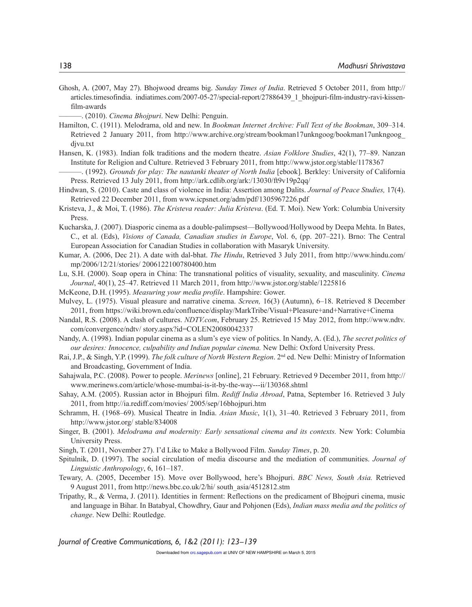Ghosh, A. (2007, May 27). Bhojwood dreams big. *Sunday Times of India*. Retrieved 5 October 2011, from http:// articles.timesofindia. indiatimes.com/2007-05-27/special-report/27886439\_1\_bhojpuri-film-industry-ravi-kissenfilm-awards

———. (2010). *Cinema Bhojpuri*. New Delhi: Penguin.

- Hamilton, C. (1911). Melodrama, old and new. In *Bookman Internet Archive: Full Text of the Bookman*, 309–314. Retrieved 2 January 2011, from http://www.archive.org/stream/bookman17unkngoog/bookman17unkngoog\_ djvu.txt
- Hansen, K. (1983). Indian folk traditions and the modern theatre. *Asian Folklore Studies*, 42(1), 77–89. Nanzan Institute for Religion and Culture. Retrieved 3 February 2011, from http://www.jstor.org/stable/1178367
- ———. (1992). *Grounds for play: The nautanki theater of North India* [ebook]. Berkley: University of California Press. Retrieved 13 July 2011, from http://ark.cdlib.org/ark:/13030/ft9v19p2qq/
- Hindwan, S. (2010). Caste and class of violence in India: Assertion among Dalits. *Journal of Peace Studies,* 17(4). Retrieved 22 December 2011, from www.icpsnet.org/adm/pdf/1305967226.pdf
- Kristeva, J., & Moi, T. (1986). *The Kristeva reader: Julia Kristeva*. (Ed. T. Moi). New York: Columbia University Press.
- Kucharska, J. (2007). Diasporic cinema as a double-palimpsest—Bollywood/Hollywood by Deepa Mehta. In Bates, C., et al. (Eds), *Visions of Canada, Canadian studies in Europe*, Vol. 6, (pp. 207–221). Brno: The Central European Association for Canadian Studies in collaboration with Masaryk University.
- Kumar, A. (2006, Dec 21). A date with dal-bhat. *The Hindu*, Retrieved 3 July 2011, from http://www.hindu.com/ mp/2006/12/21/stories/ 2006122100780400.htm
- Lu, S.H. (2000). Soap opera in China: The transnational politics of visuality, sexuality, and masculinity. *Cinema Journal*, 40(1), 25–47. Retrieved 11 March 2011, from http://www.jstor.org/stable/1225816
- McKeone, D.H. (1995). *Measuring your media profile*. Hampshire: Gower.
- Mulvey, L. (1975). Visual pleasure and narrative cinema. *Screen,* 16(3) (Autumn), 6–18. Retrieved 8 December 2011, from https://wiki.brown.edu/confluence/display/MarkTribe/Visual+Pleasure+and+Narrative+Cinema
- Nandal, R.S. (2008). A clash of cultures. *NDTV.com*, February 25. Retrieved 15 May 2012, from http://www.ndtv. com/convergence/ndtv/ story.aspx?id=COLEN20080042337

Nandy, A. (1998). Indian popular cinema as a slum's eye view of politics. In Nandy, A. (Ed.), *The secret politics of our desires: Innocence, culpability and Indian popular cinema.* New Delhi: Oxford University Press.

Rai, J.P., & Singh, Y.P. (1999). *The folk culture of North Western Region*. 2nd ed. New Delhi: Ministry of Information and Broadcasting, Government of India.

Sahajwala, P.C. (2008). Power to people. *Merinews* [online], 21 February. Retrieved 9 December 2011, from http:// www.merinews.com/article/whose-mumbai-is-it-by-the-way---ii/130368.shtml

- Sahay, A.M. (2005). Russian actor in Bhojpuri film. *Rediff India Abroad*, Patna, September 16. Retrieved 3 July 2011, from http://ia.rediff.com/movies/ 2005/sep/16bhojpuri.htm
- Schramm, H. (1968–69). Musical Theatre in India. *Asian Music*, 1(1), 31–40. Retrieved 3 February 2011, from http://www.jstor.org/ stable/834008
- Singer, B. (2001). *Melodrama and modernity: Early sensational cinema and its contexts.* New York: Columbia University Press.
- Singh, T. (2011, November 27). I'd Like to Make a Bollywood Film. *Sunday Times*, p. 20.
- Spitulnik, D. (1997). The social circulation of media discourse and the mediation of communities. *Journal of Linguistic Anthropology*, 6, 161–187.
- Tewary, A. (2005, December 15). Move over Bollywood, here's Bhojpuri. *BBC News, South Asia.* Retrieved 9 August 2011, from http://news.bbc.co.uk/2/hi/ south\_asia/4512812.stm
- Tripathy, R., & Verma, J. (2011). Identities in ferment: Reflections on the predicament of Bhojpuri cinema, music and language in Bihar. In Batabyal, Chowdhry, Gaur and Pohjonen (Eds), *Indian mass media and the politics of change*. New Delhi: Routledge.